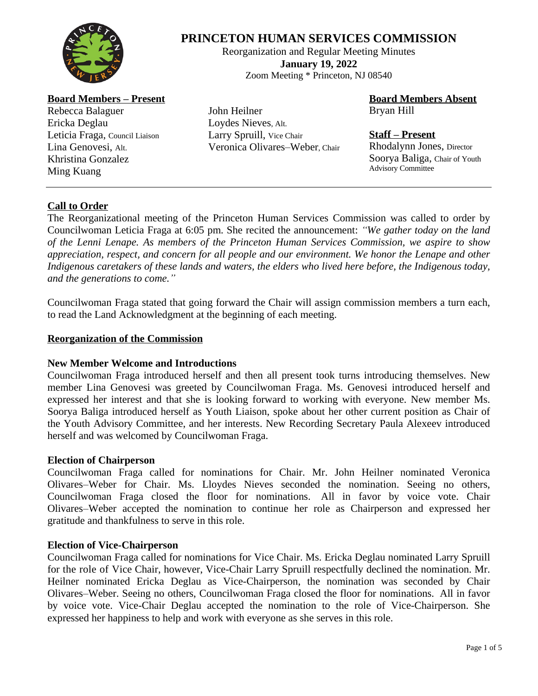

# **PRINCETON HUMAN SERVICES COMMISSION**

Reorganization and Regular Meeting Minutes **January 19, 2022** Zoom Meeting \* Princeton, NJ 08540

**Board Members – Present**

Rebecca Balaguer Ericka Deglau Leticia Fraga, Council Liaison Lina Genovesi, Alt. Khristina Gonzalez Ming Kuang

John Heilner Loydes Nieves, Alt. Larry Spruill, Vice Chair Veronica Olivares–Weber, Chair **Board Members Absent** Bryan Hill

# **Staff – Present**

Rhodalynn Jones, Director Soorya Baliga, Chair of Youth Advisory Committee

# **Call to Order**

The Reorganizational meeting of the Princeton Human Services Commission was called to order by Councilwoman Leticia Fraga at 6:05 pm. She recited the announcement: *"We gather today on the land of the Lenni Lenape. As members of the Princeton Human Services Commission, we aspire to show appreciation, respect, and concern for all people and our environment. We honor the Lenape and other Indigenous caretakers of these lands and waters, the elders who lived here before, the Indigenous today, and the generations to come."*

Councilwoman Fraga stated that going forward the Chair will assign commission members a turn each, to read the Land Acknowledgment at the beginning of each meeting.

# **Reorganization of the Commission**

# **New Member Welcome and Introductions**

Councilwoman Fraga introduced herself and then all present took turns introducing themselves. New member Lina Genovesi was greeted by Councilwoman Fraga. Ms. Genovesi introduced herself and expressed her interest and that she is looking forward to working with everyone. New member Ms. Soorya Baliga introduced herself as Youth Liaison, spoke about her other current position as Chair of the Youth Advisory Committee, and her interests. New Recording Secretary Paula Alexeev introduced herself and was welcomed by Councilwoman Fraga.

# **Election of Chairperson**

Councilwoman Fraga called for nominations for Chair. Mr. John Heilner nominated Veronica Olivares–Weber for Chair. Ms. Lloydes Nieves seconded the nomination. Seeing no others, Councilwoman Fraga closed the floor for nominations. All in favor by voice vote. Chair Olivares–Weber accepted the nomination to continue her role as Chairperson and expressed her gratitude and thankfulness to serve in this role.

# **Election of Vice-Chairperson**

Councilwoman Fraga called for nominations for Vice Chair. Ms. Ericka Deglau nominated Larry Spruill for the role of Vice Chair, however, Vice-Chair Larry Spruill respectfully declined the nomination. Mr. Heilner nominated Ericka Deglau as Vice-Chairperson, the nomination was seconded by Chair Olivares–Weber. Seeing no others, Councilwoman Fraga closed the floor for nominations. All in favor by voice vote. Vice-Chair Deglau accepted the nomination to the role of Vice-Chairperson. She expressed her happiness to help and work with everyone as she serves in this role.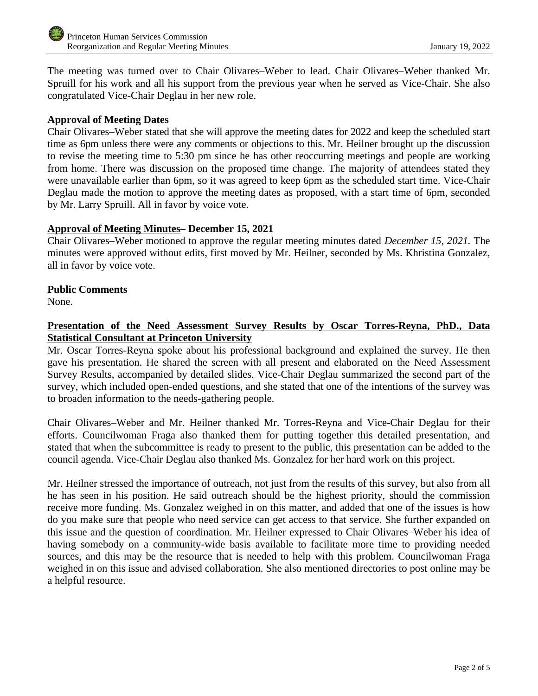The meeting was turned over to Chair Olivares–Weber to lead. Chair Olivares–Weber thanked Mr. Spruill for his work and all his support from the previous year when he served as Vice-Chair. She also congratulated Vice-Chair Deglau in her new role.

# **Approval of Meeting Dates**

Chair Olivares–Weber stated that she will approve the meeting dates for 2022 and keep the scheduled start time as 6pm unless there were any comments or objections to this. Mr. Heilner brought up the discussion to revise the meeting time to 5:30 pm since he has other reoccurring meetings and people are working from home. There was discussion on the proposed time change. The majority of attendees stated they were unavailable earlier than 6pm, so it was agreed to keep 6pm as the scheduled start time. Vice-Chair Deglau made the motion to approve the meeting dates as proposed, with a start time of 6pm, seconded by Mr. Larry Spruill. All in favor by voice vote.

#### **Approval of Meeting Minutes– December 15, 2021**

Chair Olivares–Weber motioned to approve the regular meeting minutes dated *December 15, 2021.* The minutes were approved without edits, first moved by Mr. Heilner, seconded by Ms. Khristina Gonzalez, all in favor by voice vote.

#### **Public Comments**

None.

# **Presentation of the Need Assessment Survey Results by Oscar Torres-Reyna, PhD., Data Statistical Consultant at Princeton University**

Mr. Oscar Torres-Reyna spoke about his professional background and explained the survey. He then gave his presentation. He shared the screen with all present and elaborated on the Need Assessment Survey Results, accompanied by detailed slides. Vice-Chair Deglau summarized the second part of the survey, which included open-ended questions, and she stated that one of the intentions of the survey was to broaden information to the needs-gathering people.

Chair Olivares–Weber and Mr. Heilner thanked Mr. Torres-Reyna and Vice-Chair Deglau for their efforts. Councilwoman Fraga also thanked them for putting together this detailed presentation, and stated that when the subcommittee is ready to present to the public, this presentation can be added to the council agenda. Vice-Chair Deglau also thanked Ms. Gonzalez for her hard work on this project.

Mr. Heilner stressed the importance of outreach, not just from the results of this survey, but also from all he has seen in his position. He said outreach should be the highest priority, should the commission receive more funding. Ms. Gonzalez weighed in on this matter, and added that one of the issues is how do you make sure that people who need service can get access to that service. She further expanded on this issue and the question of coordination. Mr. Heilner expressed to Chair Olivares–Weber his idea of having somebody on a community-wide basis available to facilitate more time to providing needed sources, and this may be the resource that is needed to help with this problem. Councilwoman Fraga weighed in on this issue and advised collaboration. She also mentioned directories to post online may be a helpful resource.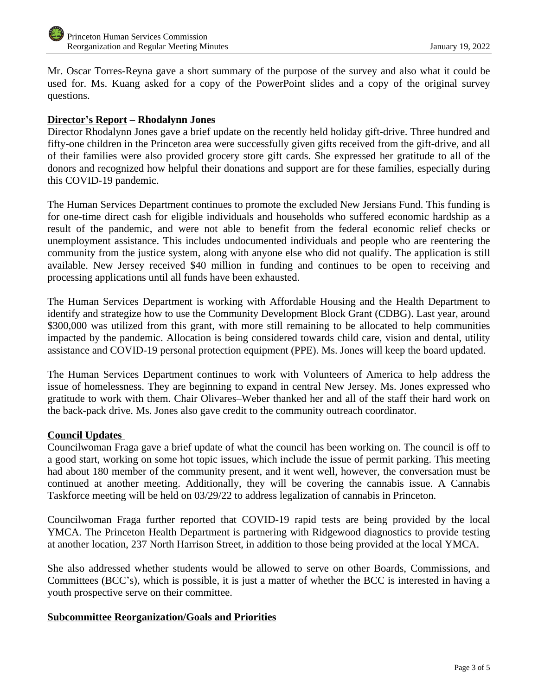Mr. Oscar Torres-Reyna gave a short summary of the purpose of the survey and also what it could be used for. Ms. Kuang asked for a copy of the PowerPoint slides and a copy of the original survey questions.

# **Director's Report – Rhodalynn Jones**

Director Rhodalynn Jones gave a brief update on the recently held holiday gift-drive. Three hundred and fifty-one children in the Princeton area were successfully given gifts received from the gift-drive, and all of their families were also provided grocery store gift cards. She expressed her gratitude to all of the donors and recognized how helpful their donations and support are for these families, especially during this COVID-19 pandemic.

The Human Services Department continues to promote the excluded New Jersians Fund. This funding is for one-time direct cash for eligible individuals and households who suffered economic hardship as a result of the pandemic, and were not able to benefit from the federal economic relief checks or unemployment assistance. This includes undocumented individuals and people who are reentering the community from the justice system, along with anyone else who did not qualify. The application is still available. New Jersey received \$40 million in funding and continues to be open to receiving and processing applications until all funds have been exhausted.

The Human Services Department is working with Affordable Housing and the Health Department to identify and strategize how to use the Community Development Block Grant (CDBG). Last year, around \$300,000 was utilized from this grant, with more still remaining to be allocated to help communities impacted by the pandemic. Allocation is being considered towards child care, vision and dental, utility assistance and COVID-19 personal protection equipment (PPE). Ms. Jones will keep the board updated.

The Human Services Department continues to work with Volunteers of America to help address the issue of homelessness. They are beginning to expand in central New Jersey. Ms. Jones expressed who gratitude to work with them. Chair Olivares–Weber thanked her and all of the staff their hard work on the back-pack drive. Ms. Jones also gave credit to the community outreach coordinator.

# **Council Updates**

Councilwoman Fraga gave a brief update of what the council has been working on. The council is off to a good start, working on some hot topic issues, which include the issue of permit parking. This meeting had about 180 member of the community present, and it went well, however, the conversation must be continued at another meeting. Additionally, they will be covering the cannabis issue. A Cannabis Taskforce meeting will be held on 03/29/22 to address legalization of cannabis in Princeton.

Councilwoman Fraga further reported that COVID-19 rapid tests are being provided by the local YMCA. The Princeton Health Department is partnering with Ridgewood diagnostics to provide testing at another location, 237 North Harrison Street, in addition to those being provided at the local YMCA.

She also addressed whether students would be allowed to serve on other Boards, Commissions, and Committees (BCC's), which is possible, it is just a matter of whether the BCC is interested in having a youth prospective serve on their committee.

# **Subcommittee Reorganization/Goals and Priorities**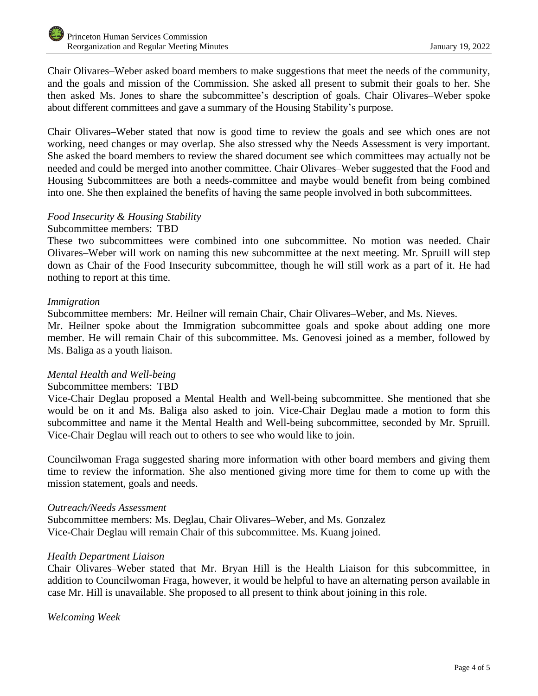Chair Olivares–Weber asked board members to make suggestions that meet the needs of the community, and the goals and mission of the Commission. She asked all present to submit their goals to her. She then asked Ms. Jones to share the subcommittee's description of goals. Chair Olivares–Weber spoke about different committees and gave a summary of the Housing Stability's purpose.

Chair Olivares–Weber stated that now is good time to review the goals and see which ones are not working, need changes or may overlap. She also stressed why the Needs Assessment is very important. She asked the board members to review the shared document see which committees may actually not be needed and could be merged into another committee. Chair Olivares–Weber suggested that the Food and Housing Subcommittees are both a needs-committee and maybe would benefit from being combined into one. She then explained the benefits of having the same people involved in both subcommittees.

# *Food Insecurity & Housing Stability*

#### Subcommittee members: TBD

These two subcommittees were combined into one subcommittee. No motion was needed. Chair Olivares–Weber will work on naming this new subcommittee at the next meeting. Mr. Spruill will step down as Chair of the Food Insecurity subcommittee, though he will still work as a part of it. He had nothing to report at this time.

#### *Immigration*

Subcommittee members: Mr. Heilner will remain Chair, Chair Olivares–Weber, and Ms. Nieves. Mr. Heilner spoke about the Immigration subcommittee goals and spoke about adding one more member. He will remain Chair of this subcommittee. Ms. Genovesi joined as a member, followed by Ms. Baliga as a youth liaison.

# *Mental Health and Well-being*

# Subcommittee members: TBD

Vice-Chair Deglau proposed a Mental Health and Well-being subcommittee. She mentioned that she would be on it and Ms. Baliga also asked to join. Vice-Chair Deglau made a motion to form this subcommittee and name it the Mental Health and Well-being subcommittee, seconded by Mr. Spruill. Vice-Chair Deglau will reach out to others to see who would like to join.

Councilwoman Fraga suggested sharing more information with other board members and giving them time to review the information. She also mentioned giving more time for them to come up with the mission statement, goals and needs.

#### *Outreach/Needs Assessment*

Subcommittee members: Ms. Deglau, Chair Olivares–Weber, and Ms. Gonzalez Vice-Chair Deglau will remain Chair of this subcommittee. Ms. Kuang joined.

# *Health Department Liaison*

Chair Olivares–Weber stated that Mr. Bryan Hill is the Health Liaison for this subcommittee, in addition to Councilwoman Fraga, however, it would be helpful to have an alternating person available in case Mr. Hill is unavailable. She proposed to all present to think about joining in this role.

*Welcoming Week*